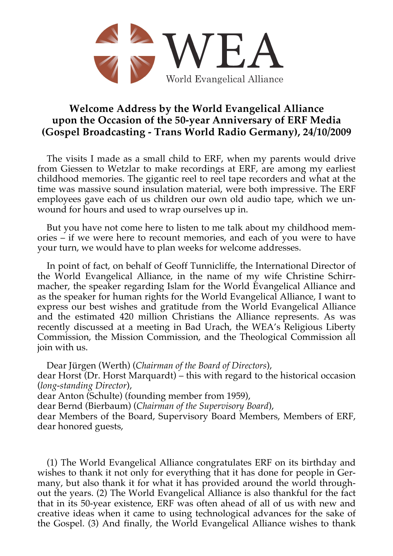

## **Welcome Address by the World Evangelical Alliance upon the Occasion of the 50-year Anniversary of ERF Media (Gospel Broadcasting - Trans World Radio Germany), 24/10/2009**

The visits I made as a small child to ERF, when my parents would drive from Giessen to Wetzlar to make recordings at ERF, are among my earliest childhood memories. The gigantic reel to reel tape recorders and what at the time was massive sound insulation material, were both impressive. The ERF employees gave each of us children our own old audio tape, which we unwound for hours and used to wrap ourselves up in.

But you have not come here to listen to me talk about my childhood memories – if we were here to recount memories, and each of you were to have your turn, we would have to plan weeks for welcome addresses.

In point of fact, on behalf of Geoff Tunnicliffe, the International Director of the World Evangelical Alliance, in the name of my wife Christine Schirrmacher, the speaker regarding Islam for the World Evangelical Alliance and as the speaker for human rights for the World Evangelical Alliance, I want to express our best wishes and gratitude from the World Evangelical Alliance and the estimated 420 million Christians the Alliance represents. As was recently discussed at a meeting in Bad Urach, the WEA's Religious Liberty Commission, the Mission Commission, and the Theological Commission all join with us.

Dear Jürgen (Werth) (*Chairman of the Board of Directors*), dear Horst (Dr. Horst Marquardt) – this with regard to the historical occasion (*long-standing Director*), dear Anton (Schulte) (founding member from 1959), dear Bernd (Bierbaum) (*Chairman of the Supervisory Board*), dear Members of the Board, Supervisory Board Members, Members of ERF, dear honored guests,

(1) The World Evangelical Alliance congratulates ERF on its birthday and wishes to thank it not only for everything that it has done for people in Germany, but also thank it for what it has provided around the world throughout the years. (2) The World Evangelical Alliance is also thankful for the fact that in its 50-year existence, ERF was often ahead of all of us with new and creative ideas when it came to using technological advances for the sake of the Gospel. (3) And finally, the World Evangelical Alliance wishes to thank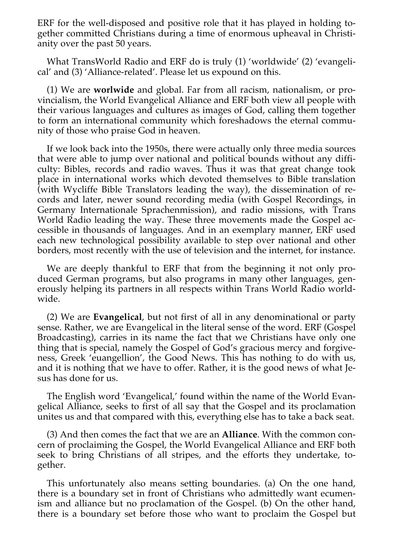ERF for the well-disposed and positive role that it has played in holding together committed Christians during a time of enormous upheaval in Christianity over the past 50 years.

What TransWorld Radio and ERF do is truly (1) 'worldwide' (2) 'evangelical' and (3) 'Alliance-related'. Please let us expound on this.

(1) We are **worlwide** and global. Far from all racism, nationalism, or provincialism, the World Evangelical Alliance and ERF both view all people with their various languages and cultures as images of God, calling them together to form an international community which foreshadows the eternal community of those who praise God in heaven.

If we look back into the 1950s, there were actually only three media sources that were able to jump over national and political bounds without any difficulty: Bibles, records and radio waves. Thus it was that great change took place in international works which devoted themselves to Bible translation (with Wycliffe Bible Translators leading the way), the dissemination of records and later, newer sound recording media (with Gospel Recordings, in Germany Internationale Sprachenmission), and radio missions, with Trans World Radio leading the way. These three movements made the Gospel accessible in thousands of languages. And in an exemplary manner, ERF used each new technological possibility available to step over national and other borders, most recently with the use of television and the internet, for instance.

We are deeply thankful to ERF that from the beginning it not only produced German programs, but also programs in many other languages, generously helping its partners in all respects within Trans World Radio worldwide.

(2) We are **Evangelical**, but not first of all in any denominational or party sense. Rather, we are Evangelical in the literal sense of the word. ERF (Gospel Broadcasting), carries in its name the fact that we Christians have only one thing that is special, namely the Gospel of God's gracious mercy and forgiveness, Greek 'euangellion', the Good News. This has nothing to do with us, and it is nothing that we have to offer. Rather, it is the good news of what Jesus has done for us.

The English word 'Evangelical,' found within the name of the World Evangelical Alliance, seeks to first of all say that the Gospel and its proclamation unites us and that compared with this, everything else has to take a back seat.

(3) And then comes the fact that we are an **Alliance**. With the common concern of proclaiming the Gospel, the World Evangelical Alliance and ERF both seek to bring Christians of all stripes, and the efforts they undertake, together.

This unfortunately also means setting boundaries. (a) On the one hand, there is a boundary set in front of Christians who admittedly want ecumenism and alliance but no proclamation of the Gospel. (b) On the other hand, there is a boundary set before those who want to proclaim the Gospel but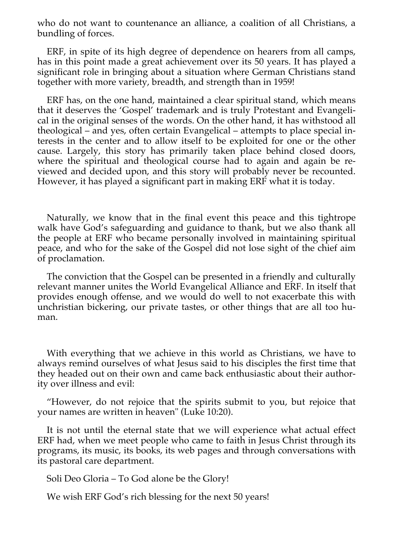who do not want to countenance an alliance, a coalition of all Christians, a bundling of forces.

ERF, in spite of its high degree of dependence on hearers from all camps, has in this point made a great achievement over its 50 years. It has played a significant role in bringing about a situation where German Christians stand together with more variety, breadth, and strength than in 1959!

ERF has, on the one hand, maintained a clear spiritual stand, which means that it deserves the 'Gospel' trademark and is truly Protestant and Evangelical in the original senses of the words. On the other hand, it has withstood all theological – and yes, often certain Evangelical – attempts to place special interests in the center and to allow itself to be exploited for one or the other cause. Largely, this story has primarily taken place behind closed doors, where the spiritual and theological course had to again and again be reviewed and decided upon, and this story will probably never be recounted. However, it has played a significant part in making ERF what it is today.

Naturally, we know that in the final event this peace and this tightrope walk have God's safeguarding and guidance to thank, but we also thank all the people at ERF who became personally involved in maintaining spiritual peace, and who for the sake of the Gospel did not lose sight of the chief aim of proclamation.

The conviction that the Gospel can be presented in a friendly and culturally relevant manner unites the World Evangelical Alliance and ERF. In itself that provides enough offense, and we would do well to not exacerbate this with unchristian bickering, our private tastes, or other things that are all too human.

With everything that we achieve in this world as Christians, we have to always remind ourselves of what Jesus said to his disciples the first time that they headed out on their own and came back enthusiastic about their authority over illness and evil:

"However, do not rejoice that the spirits submit to you, but rejoice that your names are written in heaven" (Luke 10:20).

It is not until the eternal state that we will experience what actual effect ERF had, when we meet people who came to faith in Jesus Christ through its programs, its music, its books, its web pages and through conversations with its pastoral care department.

Soli Deo Gloria – To God alone be the Glory!

We wish ERF God's rich blessing for the next 50 years!